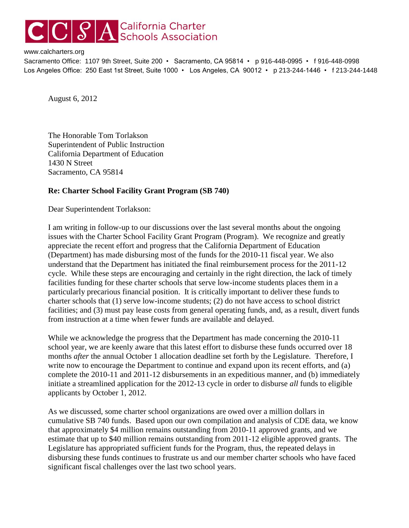## C S A California Charter

## www.calcharters.org

Sacramento Office: 1107 9th Street, Suite 200 • Sacramento, CA 95814 • p 916-448-0995 • f 916-448-0998 Los Angeles Office: 250 East 1st Street, Suite 1000 • Los Angeles, CA 90012 • p 213-244-1446 • f 213-244-1448

August 6, 2012

The Honorable Tom Torlakson Superintendent of Public Instruction California Department of Education 1430 N Street Sacramento, CA 95814

## **Re: Charter School Facility Grant Program (SB 740)**

Dear Superintendent Torlakson:

I am writing in follow-up to our discussions over the last several months about the ongoing issues with the Charter School Facility Grant Program (Program). We recognize and greatly appreciate the recent effort and progress that the California Department of Education (Department) has made disbursing most of the funds for the 2010-11 fiscal year. We also understand that the Department has initiated the final reimbursement process for the 2011-12 cycle. While these steps are encouraging and certainly in the right direction, the lack of timely facilities funding for these charter schools that serve low-income students places them in a particularly precarious financial position. It is critically important to deliver these funds to charter schools that (1) serve low-income students; (2) do not have access to school district facilities; and (3) must pay lease costs from general operating funds, and, as a result, divert funds from instruction at a time when fewer funds are available and delayed.

While we acknowledge the progress that the Department has made concerning the 2010-11 school year, we are keenly aware that this latest effort to disburse these funds occurred over 18 months *after* the annual October 1 allocation deadline set forth by the Legislature. Therefore, I write now to encourage the Department to continue and expand upon its recent efforts, and (a) complete the 2010-11 and 2011-12 disbursements in an expeditious manner, and (b) immediately initiate a streamlined application for the 2012-13 cycle in order to disburse *all* funds to eligible applicants by October 1, 2012.

As we discussed, some charter school organizations are owed over a million dollars in cumulative SB 740 funds. Based upon our own compilation and analysis of CDE data, we know that approximately \$4 million remains outstanding from 2010-11 approved grants, and we estimate that up to \$40 million remains outstanding from 2011-12 eligible approved grants. The Legislature has appropriated sufficient funds for the Program, thus, the repeated delays in disbursing these funds continues to frustrate us and our member charter schools who have faced significant fiscal challenges over the last two school years.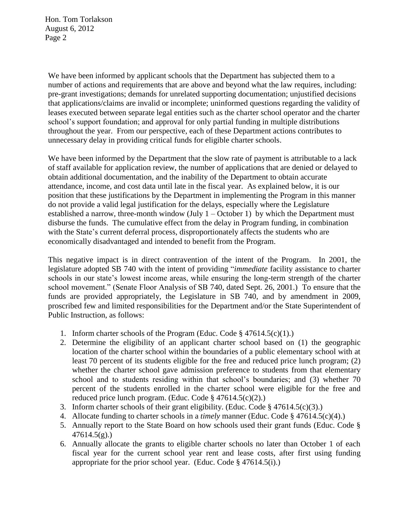Hon. Tom Torlakson August 6, 2012 Page 2

We have been informed by applicant schools that the Department has subjected them to a number of actions and requirements that are above and beyond what the law requires, including: pre-grant investigations; demands for unrelated supporting documentation; unjustified decisions that applications/claims are invalid or incomplete; uninformed questions regarding the validity of leases executed between separate legal entities such as the charter school operator and the charter school's support foundation; and approval for only partial funding in multiple distributions throughout the year. From our perspective, each of these Department actions contributes to unnecessary delay in providing critical funds for eligible charter schools.

We have been informed by the Department that the slow rate of payment is attributable to a lack of staff available for application review, the number of applications that are denied or delayed to obtain additional documentation, and the inability of the Department to obtain accurate attendance, income, and cost data until late in the fiscal year. As explained below, it is our position that these justifications by the Department in implementing the Program in this manner do not provide a valid legal justification for the delays, especially where the Legislature established a narrow, three-month window (July  $1 -$ October 1) by which the Department must disburse the funds. The cumulative effect from the delay in Program funding, in combination with the State's current deferral process, disproportionately affects the students who are economically disadvantaged and intended to benefit from the Program.

This negative impact is in direct contravention of the intent of the Program. In 2001, the legislature adopted SB 740 with the intent of providing "*immediate* facility assistance to charter schools in our state's lowest income areas, while ensuring the long-term strength of the charter school movement." (Senate Floor Analysis of SB 740, dated Sept. 26, 2001.) To ensure that the funds are provided appropriately, the Legislature in SB 740, and by amendment in 2009, proscribed few and limited responsibilities for the Department and/or the State Superintendent of Public Instruction, as follows:

- 1. Inform charter schools of the Program (Educ. Code § 47614.5(c)(1).)
- 2. Determine the eligibility of an applicant charter school based on (1) the geographic location of the charter school within the boundaries of a public elementary school with at least 70 percent of its students eligible for the free and reduced price lunch program; (2) whether the charter school gave admission preference to students from that elementary school and to students residing within that school's boundaries; and (3) whether 70 percent of the students enrolled in the charter school were eligible for the free and reduced price lunch program. (Educ. Code § 47614.5(c)(2).)
- 3. Inform charter schools of their grant eligibility. (Educ. Code § 47614.5(c)(3).)
- 4. Allocate funding to charter schools in a *timely* manner (Educ. Code § 47614.5(c)(4).)
- 5. Annually report to the State Board on how schools used their grant funds (Educ. Code §  $47614.5(g)$ .)
- 6. Annually allocate the grants to eligible charter schools no later than October 1 of each fiscal year for the current school year rent and lease costs, after first using funding appropriate for the prior school year. (Educ. Code  $\S$  47614.5(i).)